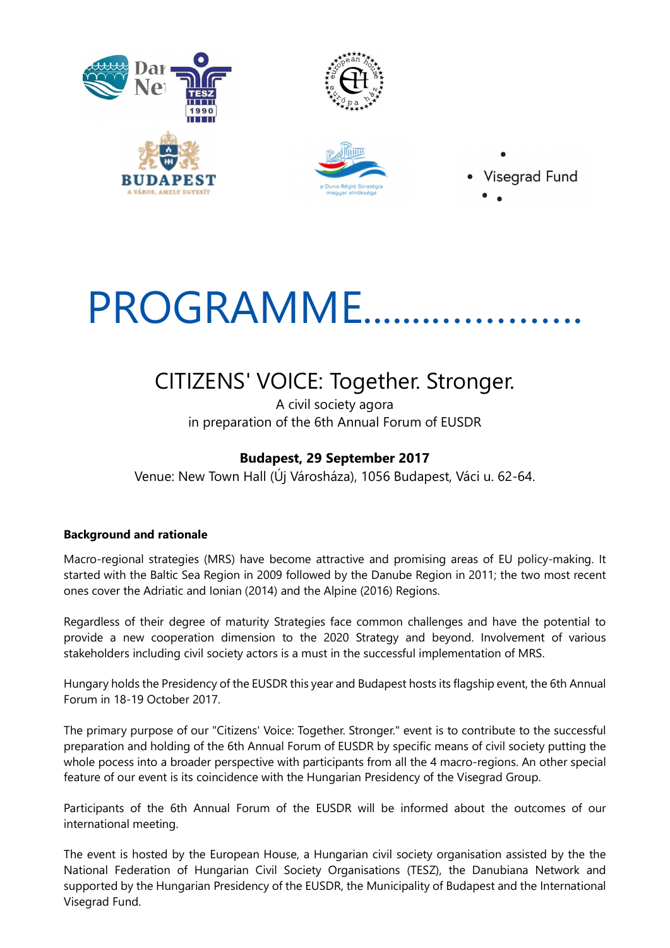





**Visegrad Fund** 

# PROGRAMME.........

# CITIZENS' VOICE: Together. Stronger.

A civil society agora in preparation of the 6th Annual Forum of EUSDR

## Budapest, 29 September 2017

Venue: New Town Hall (Új Városháza), 1056 Budapest, Váci u. 62-64.

### Background and rationale

Macro-regional strategies (MRS) have become attractive and promising areas of EU policy-making. It started with the Baltic Sea Region in 2009 followed by the Danube Region in 2011; the two most recent ones cover the Adriatic and Ionian (2014) and the Alpine (2016) Regions.

Regardless of their degree of maturity Strategies face common challenges and have the potential to provide a new cooperation dimension to the 2020 Strategy and beyond. Involvement of various stakeholders including civil society actors is a must in the successful implementation of MRS.

Hungary holds the Presidency of the EUSDR this year and Budapest hosts its flagship event, the 6th Annual Forum in 18-19 October 2017.

The primary purpose of our "Citizens' Voice: Together. Stronger." event is to contribute to the successful preparation and holding of the 6th Annual Forum of EUSDR by specific means of civil society putting the whole pocess into a broader perspective with participants from all the 4 macro-regions. An other special feature of our event is its coincidence with the Hungarian Presidency of the Visegrad Group.

Participants of the 6th Annual Forum of the EUSDR will be informed about the outcomes of our international meeting.

The event is hosted by the European House, a Hungarian civil society organisation assisted by the the National Federation of Hungarian Civil Society Organisations (TESZ), the Danubiana Network and supported by the Hungarian Presidency of the EUSDR, the Municipality of Budapest and the International Visegrad Fund.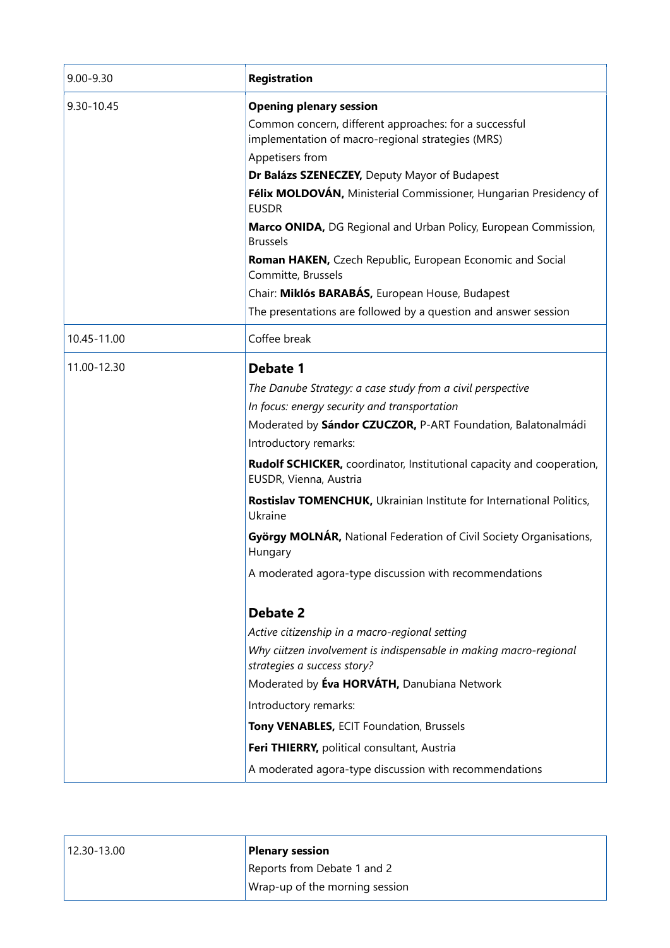| Registration                                                                                                                                                                                                                                                                                                                                                                                                                                                                                                                       |
|------------------------------------------------------------------------------------------------------------------------------------------------------------------------------------------------------------------------------------------------------------------------------------------------------------------------------------------------------------------------------------------------------------------------------------------------------------------------------------------------------------------------------------|
| <b>Opening plenary session</b><br>Common concern, different approaches: for a successful<br>implementation of macro-regional strategies (MRS)<br>Appetisers from<br>Dr Balázs SZENECZEY, Deputy Mayor of Budapest<br>Félix MOLDOVÁN, Ministerial Commissioner, Hungarian Presidency of<br><b>EUSDR</b><br>Marco ONIDA, DG Regional and Urban Policy, European Commission,<br><b>Brussels</b><br>Roman HAKEN, Czech Republic, European Economic and Social<br>Committe, Brussels<br>Chair: Miklós BARABÁS, European House, Budapest |
| The presentations are followed by a question and answer session<br>Coffee break                                                                                                                                                                                                                                                                                                                                                                                                                                                    |
| Debate 1                                                                                                                                                                                                                                                                                                                                                                                                                                                                                                                           |
| The Danube Strategy: a case study from a civil perspective<br>In focus: energy security and transportation<br>Moderated by Sándor CZUCZOR, P-ART Foundation, Balatonalmádi<br>Introductory remarks:                                                                                                                                                                                                                                                                                                                                |
| Rudolf SCHICKER, coordinator, Institutional capacity and cooperation,<br>EUSDR, Vienna, Austria                                                                                                                                                                                                                                                                                                                                                                                                                                    |
| Rostislav TOMENCHUK, Ukrainian Institute for International Politics,<br>Ukraine                                                                                                                                                                                                                                                                                                                                                                                                                                                    |
| György MOLNÁR, National Federation of Civil Society Organisations,<br>Hungary                                                                                                                                                                                                                                                                                                                                                                                                                                                      |
| A moderated agora-type discussion with recommendations                                                                                                                                                                                                                                                                                                                                                                                                                                                                             |
| <b>Debate 2</b><br>Active citizenship in a macro-regional setting<br>Why ciitzen involvement is indispensable in making macro-regional<br>strategies a success story?<br>Moderated by Eva HORVÁTH, Danubiana Network<br>Introductory remarks:<br>Tony VENABLES, ECIT Foundation, Brussels<br>Feri THIERRY, political consultant, Austria<br>A moderated agora-type discussion with recommendations                                                                                                                                 |
|                                                                                                                                                                                                                                                                                                                                                                                                                                                                                                                                    |

| $ 12.30 - 13.00 $ | <b>Plenary session</b>         |
|-------------------|--------------------------------|
|                   | Reports from Debate 1 and 2    |
|                   | Wrap-up of the morning session |